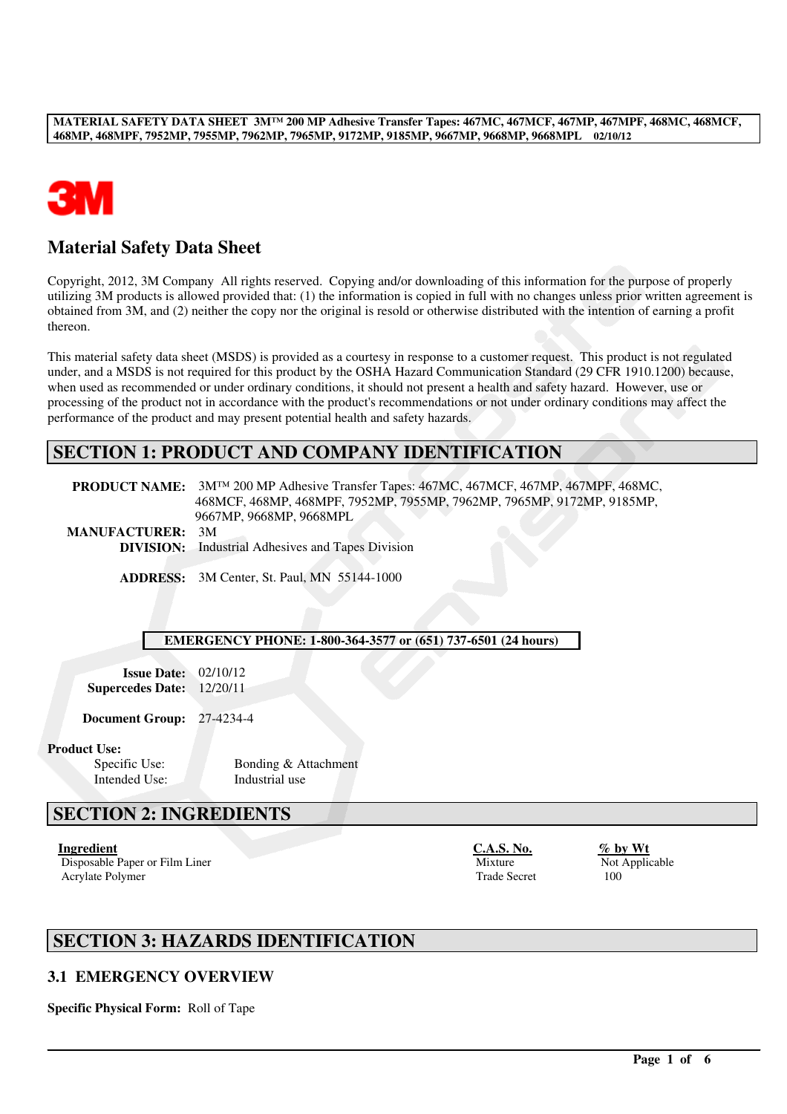

# **Material Safety Data Sheet**

Copyright, 2012, 3M Company All rights reserved. Copying and/or downloading of this information for the purpose of properly utilizing 3M products is allowed provided that: (1) the information is copied in full with no changes unless prior written agreement is obtained from 3M, and (2) neither the copy nor the original is resold or otherwise distributed with the intention of earning a profit thereon.

This material safety data sheet (MSDS) is provided as a courtesy in response to a customer request. This product is not regulated under, and a MSDS is not required for this product by the OSHA Hazard Communication Standard (29 CFR 1910.1200) because, when used as recommended or under ordinary conditions, it should not present a health and safety hazard. However, use or processing of the product not in accordance with the product's recommendations or not under ordinary conditions may affect the performance of the product and may present potential health and safety hazards.

# **SECTION 1: PRODUCT AND COMPANY IDENTIFICATION**

|                         | <b>PRODUCT NAME:</b> $3M^{TM}$ 200 MP Adhesive Transfer Tapes: 467MC, 467MCF, 467MP, 467MPF, 468MC, |
|-------------------------|-----------------------------------------------------------------------------------------------------|
|                         | 468MCF, 468MP, 468MPF, 7952MP, 7955MP, 7962MP, 7965MP, 9172MP, 9185MP,                              |
|                         | 9667MP, 9668MP, 9668MPL                                                                             |
| <b>MANUFACTURER: 3M</b> |                                                                                                     |
|                         | <b>DIVISION:</b> Industrial Adhesives and Tapes Division                                            |

**ADDRESS:** 3M Center, St. Paul, MN 55144-1000

#### **EMERGENCY PHONE: 1-800-364-3577 or (651) 737-6501 (24 hours)**

**Issue Date:** 02/10/12 **Supercedes Date:** 12/20/11

**Document Group:** 27-4234-4

#### **Product Use:**

Intended Use: Industrial use

Specific Use: Bonding & Attachment

# **SECTION 2: INGREDIENTS**

Disposable Paper or Film Liner Mixture Mixture Not Applicable<br>Acrylate Polymer 100 Acrylate Polymer

**Ingredient C.A.S. No. % by Wt**

# **SECTION 3: HAZARDS IDENTIFICATION**

### **3.1 EMERGENCY OVERVIEW**

**Specific Physical Form:** Roll of Tape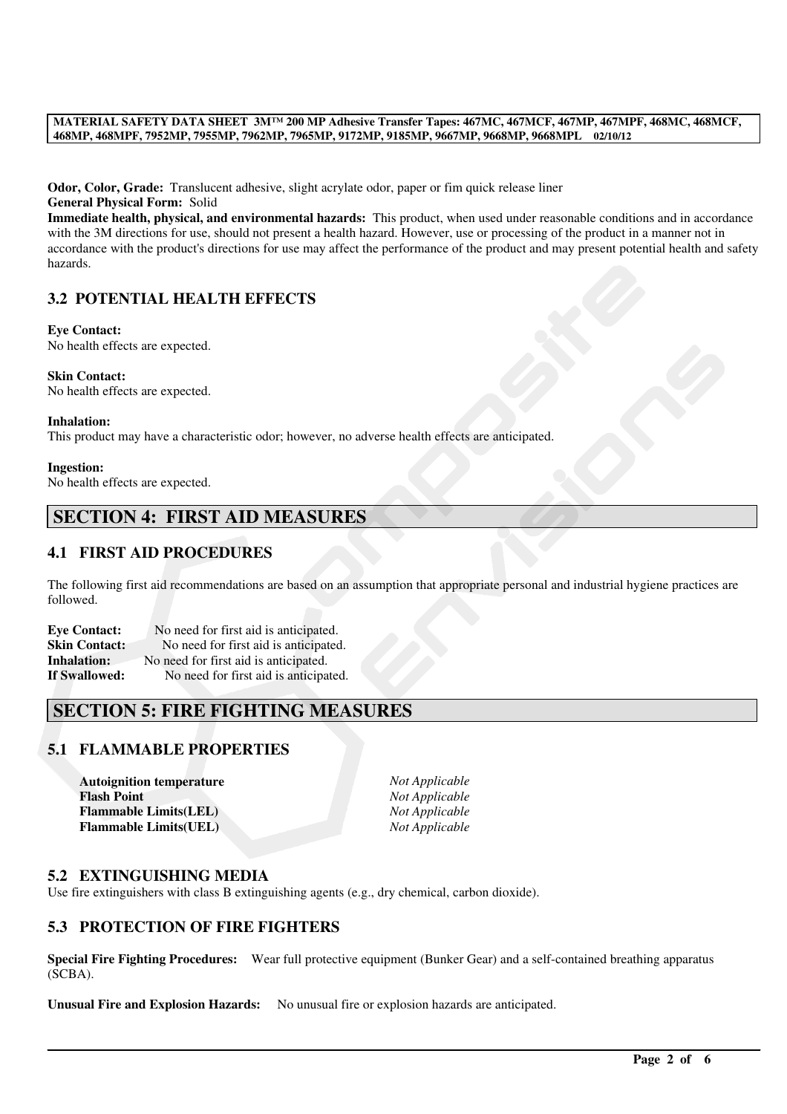**Odor, Color, Grade:** Translucent adhesive, slight acrylate odor, paper or fim quick release liner **General Physical Form:** Solid

**Immediate health, physical, and environmental hazards:** This product, when used under reasonable conditions and in accordance with the 3M directions for use, should not present a health hazard. However, use or processing of the product in a manner not in accordance with the product's directions for use may affect the performance of the product and may present potential health and safety hazards.

# **3.2 POTENTIAL HEALTH EFFECTS**

**Eye Contact:** No health effects are expected.

**Skin Contact:** No health effects are expected.

#### **Inhalation:**

This product may have a characteristic odor; however, no adverse health effects are anticipated.

#### **Ingestion:** No health effects are expected.

# **SECTION 4: FIRST AID MEASURES**

### **4.1 FIRST AID PROCEDURES**

The following first aid recommendations are based on an assumption that appropriate personal and industrial hygiene practices are followed.

| <b>Eve Contact:</b>  | No need for first aid is anticipated. |
|----------------------|---------------------------------------|
| <b>Skin Contact:</b> | No need for first aid is anticipated. |
| <b>Inhalation:</b>   | No need for first aid is anticipated. |
| If Swallowed:        | No need for first aid is anticipated. |

# **SECTION 5: FIRE FIGHTING MEASURES**

### **5.1 FLAMMABLE PROPERTIES**

| <b>Autoignition temperature</b> | Not A |
|---------------------------------|-------|
| <b>Flash Point</b>              | Not A |
| <b>Flammable Limits(LEL)</b>    | Not A |
| <b>Flammable Limits(UEL)</b>    | Not A |

**Autoignition temperature** *Not Applicable* **Flash Point** *Not Applicable* **Flammable Limits(LEL)** *Not Applicable* **Flammable Limits(UEL)** *Not Applicable*

### **5.2 EXTINGUISHING MEDIA**

Use fire extinguishers with class B extinguishing agents (e.g., dry chemical, carbon dioxide).

### **5.3 PROTECTION OF FIRE FIGHTERS**

**Special Fire Fighting Procedures:** Wear full protective equipment (Bunker Gear) and a self-contained breathing apparatus (SCBA).

**Unusual Fire and Explosion Hazards:** No unusual fire or explosion hazards are anticipated.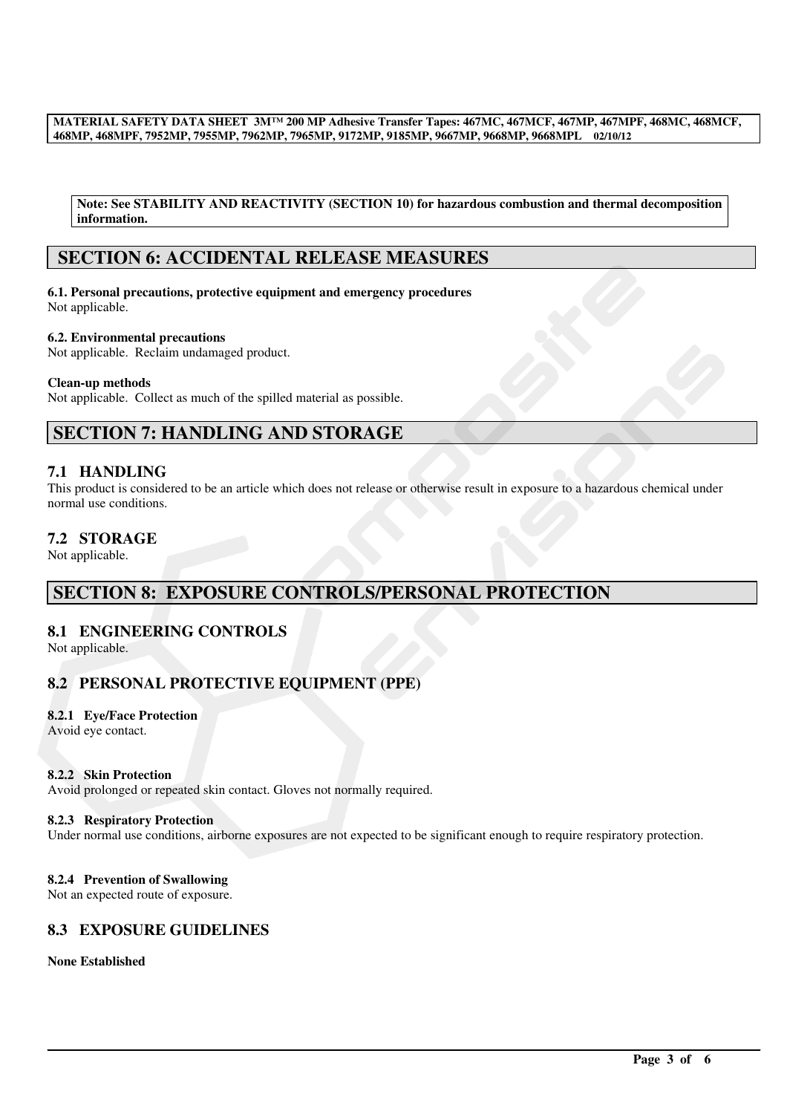**Note: See STABILITY AND REACTIVITY (SECTION 10) for hazardous combustion and thermal decomposition information.**

# **SECTION 6: ACCIDENTAL RELEASE MEASURES**

**6.1. Personal precautions, protective equipment and emergency procedures** Not applicable.

**6.2. Environmental precautions**

Not applicable. Reclaim undamaged product.

#### **Clean-up methods**

Not applicable. Collect as much of the spilled material as possible.

# **SECTION 7: HANDLING AND STORAGE**

### **7.1 HANDLING**

This product is considered to be an article which does not release or otherwise result in exposure to a hazardous chemical under normal use conditions.

### **7.2 STORAGE**

Not applicable.

# **SECTION 8: EXPOSURE CONTROLS/PERSONAL PROTECTION**

### **8.1 ENGINEERING CONTROLS**

Not applicable.

### **8.2 PERSONAL PROTECTIVE EQUIPMENT (PPE)**

#### **8.2.1 Eye/Face Protection**

Avoid eye contact.

#### **8.2.2 Skin Protection**

Avoid prolonged or repeated skin contact. Gloves not normally required.

#### **8.2.3 Respiratory Protection**

Under normal use conditions, airborne exposures are not expected to be significant enough to require respiratory protection.

#### **8.2.4 Prevention of Swallowing**

Not an expected route of exposure.

# **8.3 EXPOSURE GUIDELINES**

#### **None Established**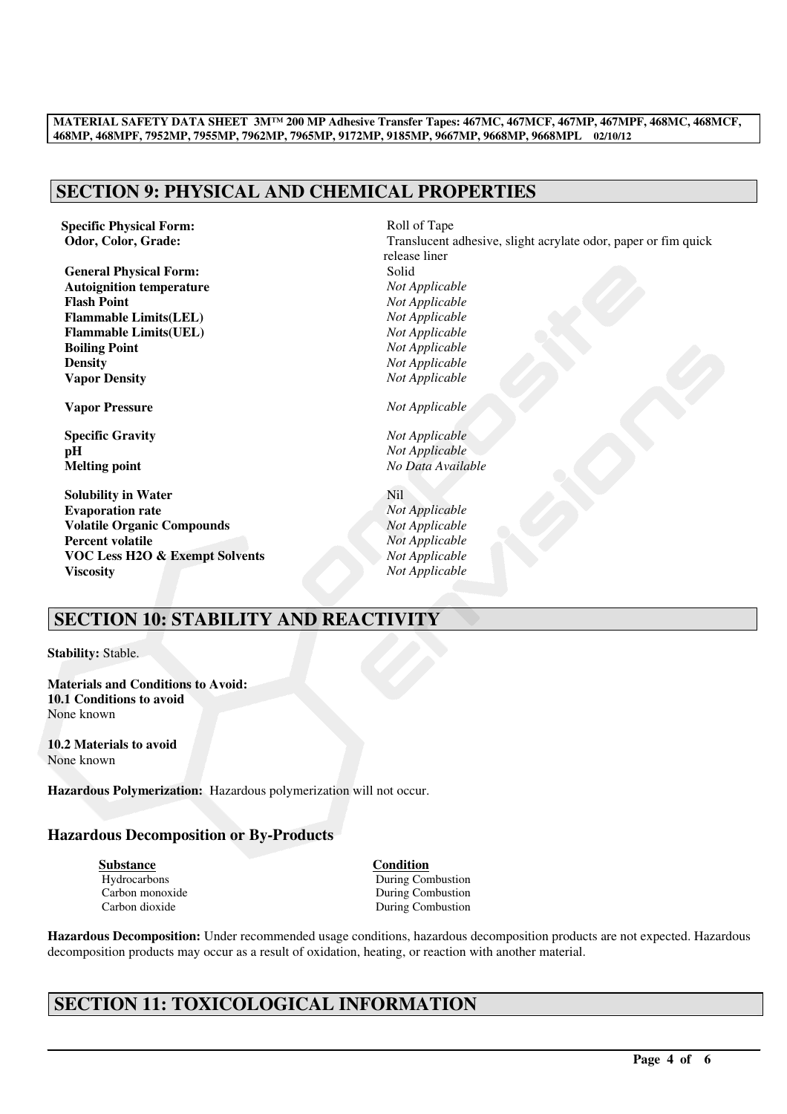# **SECTION 9: PHYSICAL AND CHEMICAL PROPERTIES**

**Specific Physical Form:**  $R$ oll of Tape

**General Physical Form:**  $\qquad \qquad$  Solid<br> **Autoignition temperature**  $\qquad \qquad \qquad$  Not Applicable **Autoignition temperature** *Not Applicable* **Flash Point**<br> **Flammable Limits(LEL)**<br> *Not Applicable*<br> *Not Applicable*  $Flammable Limits(LEL)$ **Flammable Limits(UEL)** *Not Applicable* **Boiling Point** *Not Applicable* **Density** *Not Applicable* **Vapor Density** *Not Applicable*

**Solubility in Water** Nil **Evaporation rate** *Not Applicable* **Volatile Organic Compounds** *Not Applicable* **Percent volatile** *Not Applicable* **VOC Less H2O & Exempt Solvents** *Not Applicable* **Viscosity** *Not Applicable*

**Odor, Color, Grade:** Translucent adhesive, slight acrylate odor, paper or fim quick release liner **Vapor Pressure** *Not Applicable* **Specific Gravity** *Not Applicable* **pH** *Not Applicable* **Melting point** *No Data Available*

# **SECTION 10: STABILITY AND REACTIVITY**

**Stability:** Stable.

**Materials and Conditions to Avoid: 10.1 Conditions to avoid** None known

**10.2 Materials to avoid** None known

**Hazardous Polymerization:** Hazardous polymerization will not occur.

### **Hazardous Decomposition or By-Products**

**Substance Condition**

Hydrocarbons During Combustion<br>
Carbon monoxide Carbons During Combustion Carbon monoxide During Combustion<br>
Carbon dioxide Carbon During Combustion During Combustion

**Hazardous Decomposition:** Under recommended usage conditions, hazardous decomposition products are not expected. Hazardous decomposition products may occur as a result of oxidation, heating, or reaction with another material.

# **SECTION 11: TOXICOLOGICAL INFORMATION**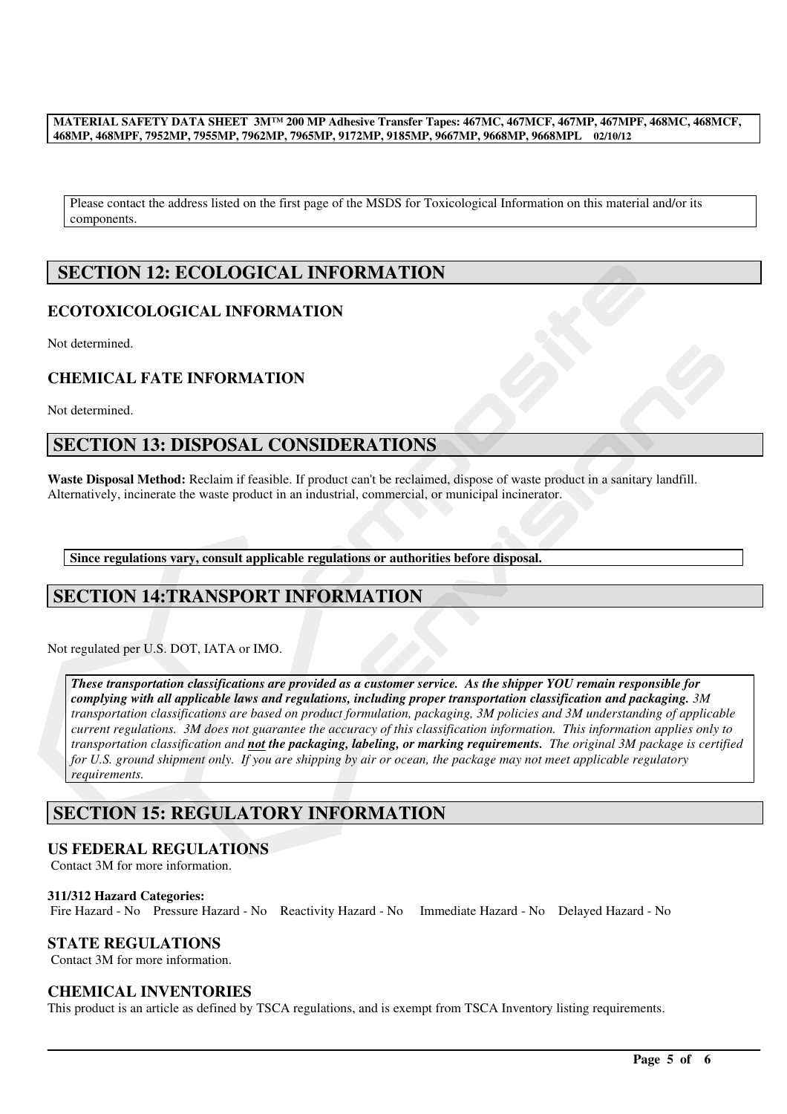Please contact the address listed on the first page of the MSDS for Toxicological Information on this material and/or its components.

# **SECTION 12: ECOLOGICAL INFORMATION**

# **ECOTOXICOLOGICAL INFORMATION**

Not determined.

### **CHEMICAL FATE INFORMATION**

Not determined.

# **SECTION 13: DISPOSAL CONSIDERATIONS**

**Waste Disposal Method:** Reclaim if feasible. If product can't be reclaimed, dispose of waste product in a sanitary landfill. Alternatively, incinerate the waste product in an industrial, commercial, or municipal incinerator.

**Since regulations vary, consult applicable regulations or authorities before disposal.**

# **SECTION 14:TRANSPORT INFORMATION**

Not regulated per U.S. DOT, IATA or IMO.

*These transportation classifications are provided as a customer service. As the shipper YOU remain responsible for complying with all applicable laws and regulations, including proper transportation classification and packaging. 3M transportation classifications are based on product formulation, packaging, 3M policies and 3M understanding of applicable current regulations. 3M does not guarantee the accuracy of this classification information. This information applies only to transportation classification and not the packaging, labeling, or marking requirements. The original 3M package is certified for U.S. ground shipment only. If you are shipping by air or ocean, the package may not meet applicable regulatory requirements.* 

# **SECTION 15: REGULATORY INFORMATION**

### **US FEDERAL REGULATIONS**

Contact 3M for more information.

#### **311/312 Hazard Categories:**

Fire Hazard - No Pressure Hazard - No Reactivity Hazard - No Immediate Hazard - No Delayed Hazard - No

### **STATE REGULATIONS**

Contact 3M for more information.

### **CHEMICAL INVENTORIES**

This product is an article as defined by TSCA regulations, and is exempt from TSCA Inventory listing requirements.